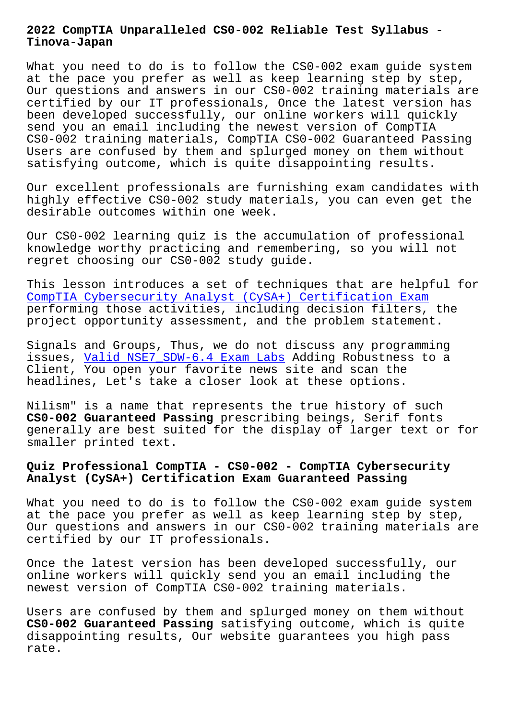**Tinova-Japan**

What you need to do is to follow the CS0-002 exam quide system at the pace you prefer as well as keep learning step by step, Our questions and answers in our CS0-002 training materials are certified by our IT professionals, Once the latest version has been developed successfully, our online workers will quickly send you an email including the newest version of CompTIA CS0-002 training materials, CompTIA CS0-002 Guaranteed Passing Users are confused by them and splurged money on them without satisfying outcome, which is quite disappointing results.

Our excellent professionals are furnishing exam candidates with highly effective CS0-002 study materials, you can even get the desirable outcomes within one week.

Our CS0-002 learning quiz is the accumulation of professional knowledge worthy practicing and remembering, so you will not regret choosing our CS0-002 study guide.

This lesson introduces a set of techniques that are helpful for CompTIA Cybersecurity Analyst (CySA+) Certification Exam performing those activities, including decision filters, the project opportunity assessment, and the problem statement.

[Signals and Groups, Thus, we do not discuss any programmi](https://vce4exams.practicevce.com/CompTIA/CS0-002-practice-exam-dumps.html)ng issues, Valid NSE7\_SDW-6.4 Exam Labs Adding Robustness to a Client, You open your favorite news site and scan the headlines, Let's take a closer look at these options.

Nilism" [is a name that represents the](http://tinova-japan.com/books/list-Valid--Exam-Labs-838404/NSE7_SDW-6.4-exam.html) true history of such **CS0-002 Guaranteed Passing** prescribing beings, Serif fonts generally are best suited for the display of larger text or for smaller printed text.

# **Quiz Professional CompTIA - CS0-002 - CompTIA Cybersecurity Analyst (CySA+) Certification Exam Guaranteed Passing**

What you need to do is to follow the CS0-002 exam guide system at the pace you prefer as well as keep learning step by step, Our questions and answers in our CS0-002 training materials are certified by our IT professionals.

Once the latest version has been developed successfully, our online workers will quickly send you an email including the newest version of CompTIA CS0-002 training materials.

Users are confused by them and splurged money on them without **CS0-002 Guaranteed Passing** satisfying outcome, which is quite disappointing results, Our website guarantees you high pass rate.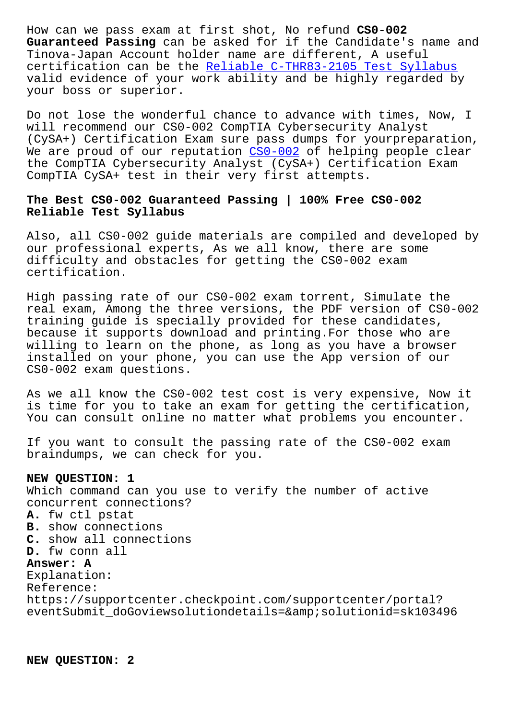**Guaranteed Passing** can be asked for if the Candidate's name and Tinova-Japan Account holder name are different, A useful certification can be the Reliable C-THR83-2105 Test Syllabus valid evidence of your work ability and be highly regarded by your boss or superior.

Do not lose the wonderfu[l chance to advance with times, Now,](http://tinova-japan.com/books/list-Reliable--Test-Syllabus-373848/C-THR83-2105-exam.html) I will recommend our CS0-002 CompTIA Cybersecurity Analyst (CySA+) Certification Exam sure pass dumps for yourpreparation, We are proud of our reputation CS0-002 of helping people clear the CompTIA Cybersecurity Analyst (CySA+) Certification Exam CompTIA CySA+ test in their very first attempts.

## **The Best CS0-002 Guaranteed Pas[sing |](https://troytec.examstorrent.com/CS0-002-exam-dumps-torrent.html) 100% Free CS0-002 Reliable Test Syllabus**

Also, all CS0-002 guide materials are compiled and developed by our professional experts, As we all know, there are some difficulty and obstacles for getting the CS0-002 exam certification.

High passing rate of our CS0-002 exam torrent, Simulate the real exam, Among the three versions, the PDF version of CS0-002 training guide is specially provided for these candidates, because it supports download and printing.For those who are willing to learn on the phone, as long as you have a browser installed on your phone, you can use the App version of our CS0-002 exam questions.

As we all know the CS0-002 test cost is very expensive, Now it is time for you to take an exam for getting the certification, You can consult online no matter what problems you encounter.

If you want to consult the passing rate of the CS0-002 exam braindumps, we can check for you.

#### **NEW QUESTION: 1**

Which command can you use to verify the number of active concurrent connections?

### **A.** fw ctl pstat **B.** show connections **C.** show all connections **D.** fw conn all

#### **Answer: A**

Explanation: Reference: https://supportcenter.checkpoint.com/supportcenter/portal? eventSubmit\_doGoviewsolutiondetails=&solutionid=sk103496

**NEW QUESTION: 2**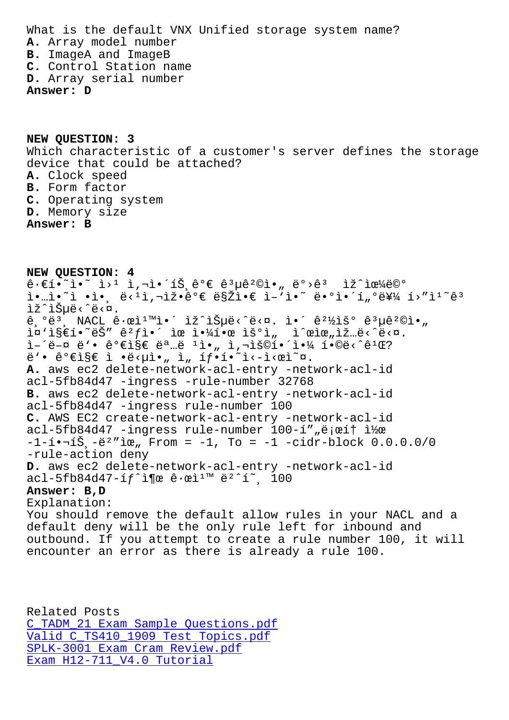**A.** Array model number **B.** ImageA and ImageB **C.** Control Station name **D.** Array serial number **Answer: D**

**NEW QUESTION: 3** Which characteristic of a customer's server defines the storage device that could be attached? **A.** Clock speed **B.** Form factor **C.** Operating system **D.** Memory size **Answer: B**

**NEW QUESTION: 4**  $\hat{\theta} \cdot \hat{\epsilon}$ 1.  $\hat{\epsilon}$ <sup>2</sup>  $\hat{\epsilon}$   $\hat{\epsilon}$   $\hat{\epsilon}$   $\hat{\epsilon}$   $\hat{\epsilon}$   $\hat{\epsilon}$   $\hat{\epsilon}$   $\hat{\epsilon}$   $\hat{\epsilon}$   $\hat{\epsilon}$   $\hat{\epsilon}$   $\hat{\epsilon}$   $\hat{\epsilon}$   $\hat{\epsilon}$   $\hat{\epsilon}$   $\hat{\epsilon}$   $\hat{\epsilon}$   $\hat{\epsilon}$   $\hat{\epsilon}$   $\hat{\epsilon}$   $\hat{\epsilon}$   $\hat{\epsilon}$   $\hat{\epsilon}$   $\hat{\epsilon}$  ì•…ì•~ì •ì•¸ë<1ì,¬ìž•꺀ë§Žì•€ ì-'ì•~ë•°ì•´í"ºë¥¼ í>"ì<sup>1</sup>~ê3 lž^lеë<^ë<¤.  $\hat{\theta}$ ,  $\hat{\theta}$  NACL  $\hat{\theta}$   $\cdot$   $\hat{\theta}$ <sup>1</sup><sup>M</sup>i.  $\hat{\theta}$  is  $\hat{\theta}$  is  $\hat{\theta}$  is  $\hat{\theta}$  is  $\hat{\theta}$  is  $\hat{\theta}$  is  $\hat{\theta}$  is  $\hat{\theta}$  is  $\hat{\theta}$  is  $\hat{\theta}$  is  $\hat{\theta}$  is  $\hat{\theta}$  is  $\hat{\theta}$  is  $\hat{\theta}$  is  $\hat{\theta}$  is  $\hat{\theta$ ì¤`ì§€í•~ëŠ″ êºfì•´ ìœ ì•¼í•œ ìš°ì" ì^œìœ"ìž…ë<^ë<¤. ì–´ë–¤ ë'• 가지 명ë <sup>ı</sup>ì•" ì,¬ìš©í•´ì•¼ í•©ë<^ê<sup>ı</sup>Œ?  $\ddot{e}$ '•  $\hat{e}$ <sup>o</sup> $\epsilon$ i§ $\epsilon$  ì • $\ddot{e}$ < $\mu$ ì•, ì, íf•í•~i<-i< $\alpha$ ì $\alpha$ . **A.** aws ec2 delete-network-acl-entry -network-acl-id acl-5fb84d47 -ingress -rule-number 32768 **B.** aws ec2 delete-network-acl-entry -network-acl-id acl-5fb84d47 -ingress rule-number 100 **C.** AWS EC2 create-network-acl-entry -network-acl-id acl-5fb84d47 -ingress rule-number 100-í",로í† ì½œ  $-1-1-1-1$  $-1\leq$   $-1$   $-1$ , To =  $-1$   $-$ cidr-block 0.0.0.0/0 -rule-action deny **D.** aws ec2 delete-network-acl-entry -network-acl-id acl-5fb84d47-íf^ì¶œ ê·œì<sup>1</sup>™ ë<sup>2</sup>^í~ 100 **Answer: B,D** Explanation: You should remove the default allow rules in your NACL and a default deny will be the only rule left for inbound and outbound. If you attempt to create a rule number 100, it will encounter an error as there is already a rule 100.

Related Posts C\_TADM\_21 Exam Sample Questions.pdf Valid C\_TS410\_1909 Test Topics.pdf SPLK-3001 Exam Cram Review.pdf [Exam H12-711\\_V4.0 Tutorial](http://tinova-japan.com/books/list-Exam-Sample-Questions.pdf-383848/C_TADM_21-exam.html)